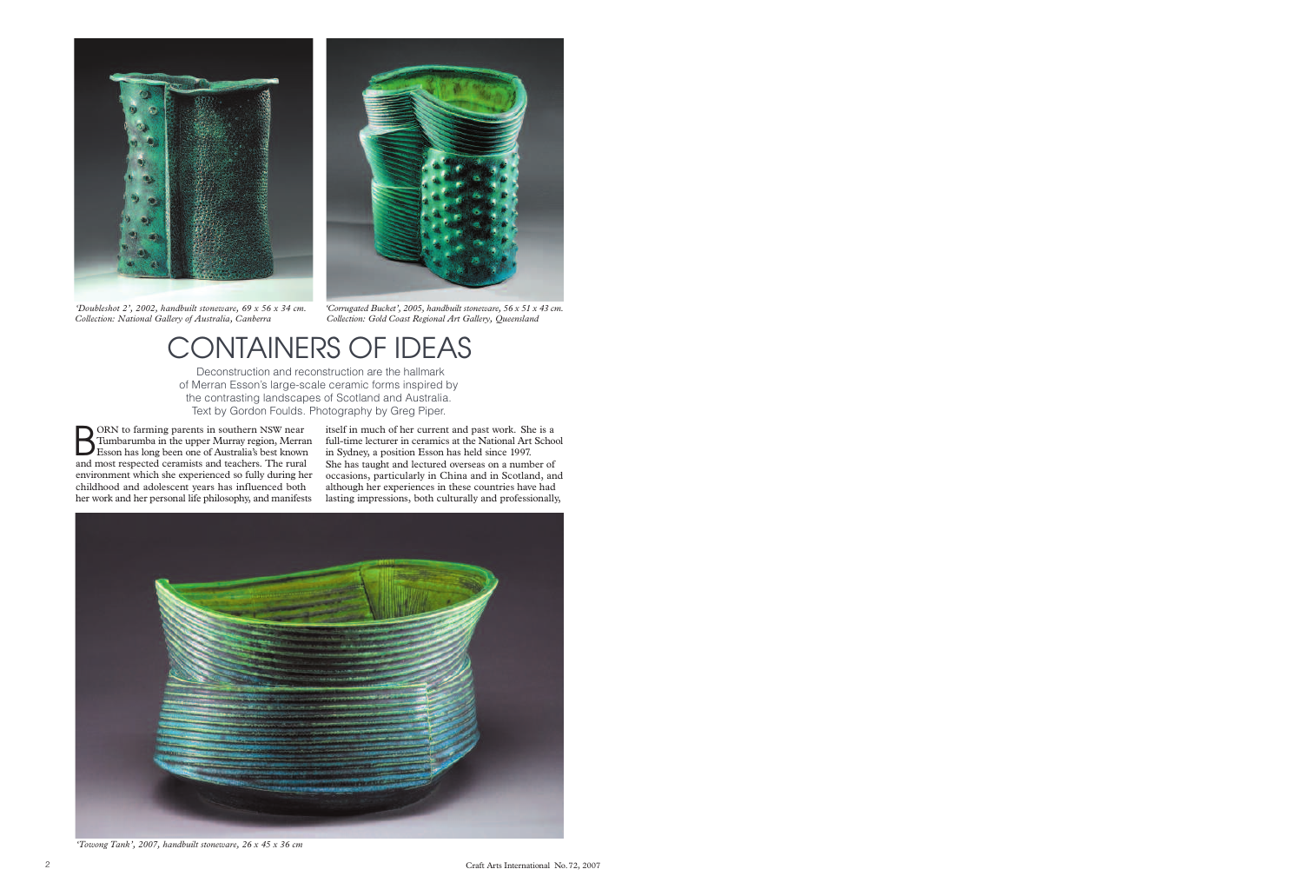

*'Doubleshot 2', 2002, handbuilt stoneware, 69 x 56 x 34 cm. Collection: National Gallery of Australia, Canberra*



*'Towong Tank', 2007, handbuilt stoneware, 26 x 45 x 36 cm*



## CONTAINERS OF IDEAS

Deconstruction and reconstruction are the hallmark of Merran Esson's large-scale ceramic forms inspired by the contrasting landscapes of Scotland and Australia. Text by Gordon Foulds. Photography by Greg Piper.

BORN to farming parents in southern NSW near<br>Tumbarumba in the upper Murray region, Merra<br>Esson has long been one of Australia's best knows Tumbarumba in the upper Murray region, Merran Esson has long been one of Australia's best known and most respected ceramists and teachers. The rural environment which she experienced so fully during her childhood and adolescent years has influenced both her work and her personal life philosophy, and manifests

itself in much of her current and past work. She is a full-time lecturer in ceramics at the National Art School in Sydney, a position Esson has held since 1997. She has taught and lectured overseas on a number of occasions, particularly in China and in Scotland, and although her experiences in these countries have had lasting impressions, both culturally and professionally,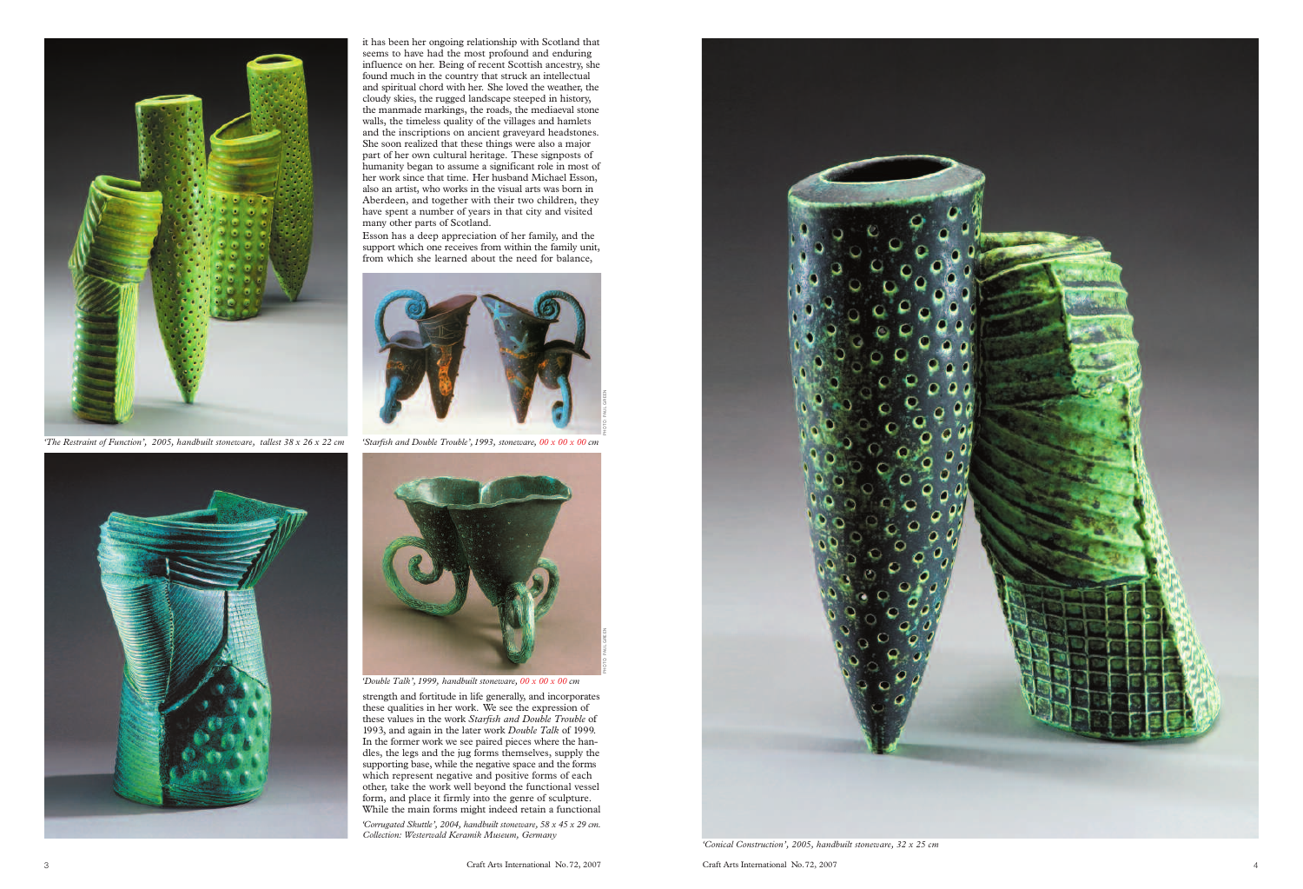

*'Starfish and Double Trouble',1993, stoneware, 00 x 00 x 00 cm*



*'Corrugated Skuttle', 2004, handbuilt stoneware, 58 x 45 x 29 cm. Collection: Westerwald Keramik Museum, Germany*



it has been her ongoing relationship with Scotland that seems to have had the most profound and enduring influence on her. Being of recent Scottish ancestry, she found much in the country that struck an intellectual and spiritual chord with her. She loved the weather, the cloudy skies, the rugged landscape steeped in history, the manmade markings, the roads, the mediaeval stone walls, the timeless quality of the villages and hamlets and the inscriptions on ancient graveyard headstones. She soon realized that these things were also a major part of her own cultural heritage. These signposts of humanity began to assume a significant role in most of her work since that time. Her husband Michael Esson, also an artist, who works in the visual arts was born in Aberdeen, and together with their two children, they have spent a number of years in that city and visited many other parts of Scotland.



*'Double Talk', 1999, handbuilt stoneware, 00 x 00 x 00 cm*

Esson has a deep appreciation of her family, and the support which one receives from within the family unit, from which she learned about the need for balance,

strength and fortitude in life generally, and incorporates these qualities in her work. We see the expression of these values in the work *Starfish and Double Trouble* of 1993, and again in the later work *Double Talk* of 1999. In the former work we see paired pieces where the handles, the legs and the jug forms themselves, supply the supporting base, while the negative space and the forms which represent negative and positive forms of each other, take the work well beyond the functional vessel form, and place it firmly into the genre of sculpture. While the main forms might indeed retain a functional



*'The Restraint of Function', 2005, handbuilt stoneware, tallest 38 x 26 x 22 cm*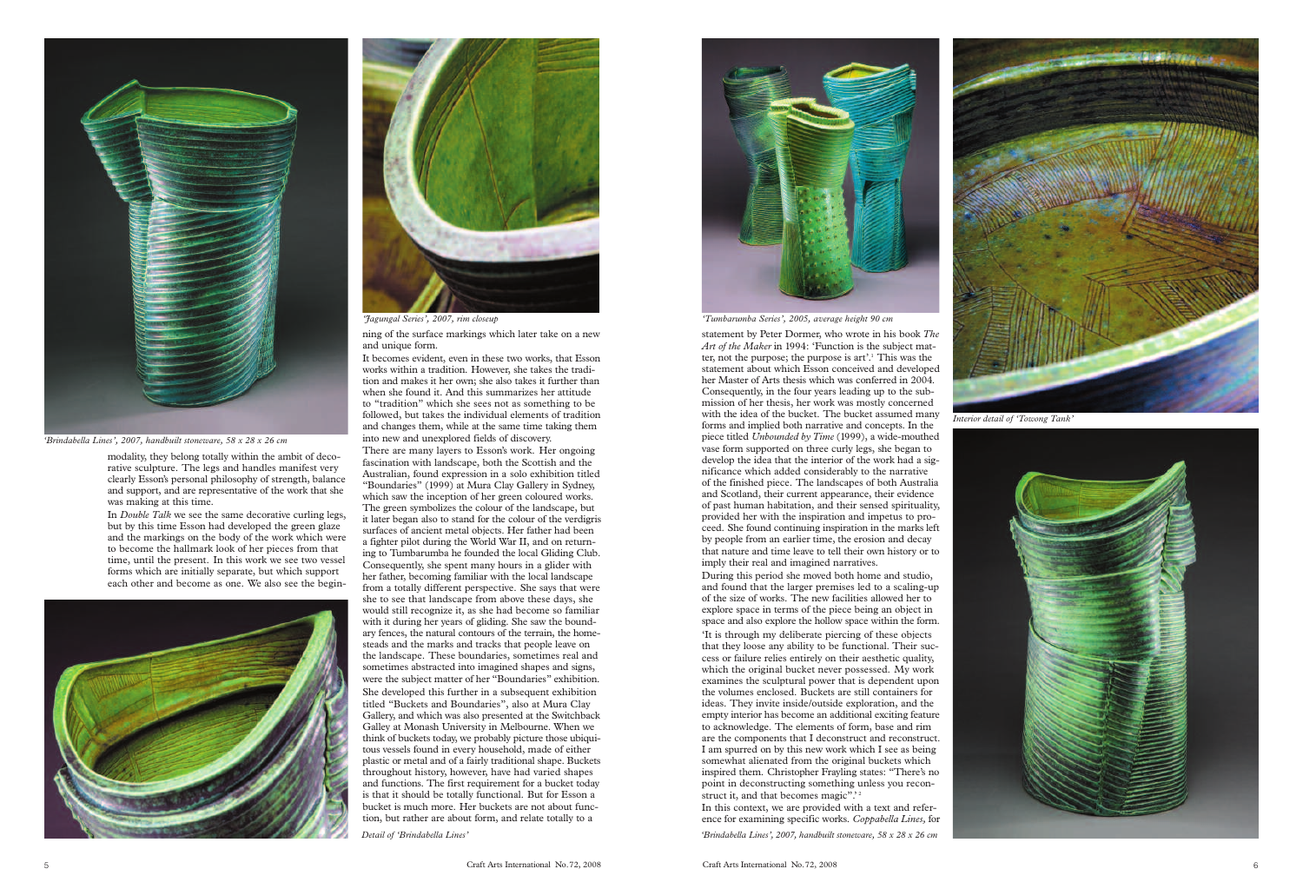It becomes evident, even in these two works, that Esson works within a tradition. However, she takes the tradition and makes it her own; she also takes it further than when she found it. And this summarizes her attitude to "tradition" which she sees not as something to be followed, but takes the individual elements of tradition and changes them, while at the same time taking them into new and unexplored fields of discovery.

There are many layers to Esson's work. Her ongoing fascination with landscape, both the Scottish and the Australian, found expression in a solo exhibition titled "Boundaries" (1999) at Mura Clay Gallery in Sydney, which saw the inception of her green coloured works. The green symbolizes the colour of the landscape, but it later began also to stand for the colour of the verdigris surfaces of ancient metal objects. Her father had been a fighter pilot during the World War II, and on returning to Tumbarumba he founded the local Gliding Club. Consequently, she spent many hours in a glider with her father, becoming familiar with the local landscape from a totally different perspective. She says that were she to see that landscape from above these days, she would still recognize it, as she had become so familiar with it during her years of gliding. She saw the boundary fences, the natural contours of the terrain, the homesteads and the marks and tracks that people leave on the landscape. These boundaries, sometimes real and sometimes abstracted into imagined shapes and signs, were the subject matter of her "Boundaries" exhibition. She developed this further in a subsequent exhibition titled "Buckets and Boundaries", also at Mura Clay Gallery, and which was also presented at the Switchback Galley at Monash University in Melbourne. When we think of buckets today, we probably picture those ubiquitous vessels found in every household, made of either plastic or metal and of a fairly traditional shape. Buckets throughout history, however, have had varied shapes and functions. The first requirement for a bucket today is that it should be totally functional. But for Esson a bucket is much more. Her buckets are not about function, but rather are about form, and relate totally to a





ning of the surface markings which later take on a new and unique form. *'Jagungal Series', 2007, rim closeup 'Tumbarumba Series', 2005, average height 90 cm*

'It is through my deliberate piercing of these objects that they loose any ability to be functional. Their success or failure relies entirely on their aesthetic quality, which the original bucket never possessed. My work examines the sculptural power that is dependent upon the volumes enclosed. Buckets are still containers for ideas. They invite inside/outside exploration, and the empty interior has become an additional exciting feature to acknowledge. The elements of form, base and rim are the components that I deconstruct and reconstruct. I am spurred on by this new work which I see as being somewhat alienated from the original buckets which inspired them. Christopher Frayling states: "There's no point in deconstructing something unless you reconstruct it, and that becomes magic".<sup>2</sup>

modality, they belong totally within the ambit of decorative sculpture. The legs and handles manifest very clearly Esson's personal philosophy of strength, balance and support, and are representative of the work that she was making at this time.

In *Double Talk* we see the same decorative curling legs, but by this time Esson had developed the green glaze and the markings on the body of the work which were to become the hallmark look of her pieces from that time, until the present. In this work we see two vessel forms which are initially separate, but which support each other and become as one. We also see the begin-



*Detail of 'Brindabella Lines' 'Brindabella Lines', 2007, handbuilt stoneware, 58 x 28 x 26 cm*

![](_page_2_Picture_0.jpeg)

*'Brindabella Lines', 2007, handbuilt stoneware, 58 x 28 x 26 cm*

![](_page_2_Picture_20.jpeg)

*Interior detail of 'Towong Tank'*

![](_page_2_Picture_22.jpeg)

statement by Peter Dormer, who wrote in his book *The Art of the Maker* in 1994: 'Function is the subject matter, not the purpose; the purpose is art'.1 This was the statement about which Esson conceived and developed her Master of Arts thesis which was conferred in 2004. Consequently, in the four years leading up to the submission of her thesis, her work was mostly concerned with the idea of the bucket. The bucket assumed many forms and implied both narrative and concepts. In the piece titled *Unbounded by Time* (1999), a wide-mouthed vase form supported on three curly legs, she began to develop the idea that the interior of the work had a significance which added considerably to the narrative of the finished piece. The landscapes of both Australia and Scotland, their current appearance, their evidence of past human habitation, and their sensed spirituality, provided her with the inspiration and impetus to proceed. She found continuing inspiration in the marks left by people from an earlier time, the erosion and decay that nature and time leave to tell their own history or to imply their real and imagined narratives.

During this period she moved both home and studio, and found that the larger premises led to a scaling-up of the size of works. The new facilities allowed her to explore space in terms of the piece being an object in space and also explore the hollow space within the form.

In this context, we are provided with a text and reference for examining specific works. *Coppabella Lines,* for